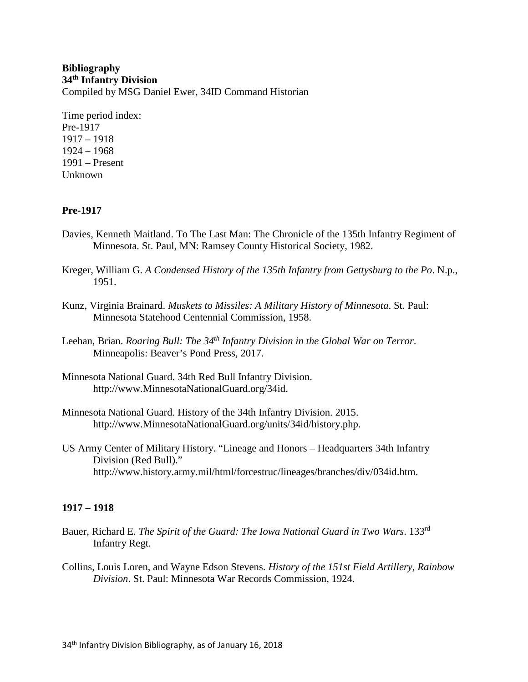# **Bibliography 34th Infantry Division** Compiled by MSG Daniel Ewer, 34ID Command Historian

Time period index: Pre-1917 1917 – 1918 1924 – 1968 1991 – Present Unknown

# **Pre-1917**

- Davies, Kenneth Maitland. To The Last Man: The Chronicle of the 135th Infantry Regiment of Minnesota. St. Paul, MN: Ramsey County Historical Society, 1982.
- Kreger, William G. *A Condensed History of the 135th Infantry from Gettysburg to the Po*. N.p., 1951.
- Kunz, Virginia Brainard. *Muskets to Missiles: A Military History of Minnesota*. St. Paul: Minnesota Statehood Centennial Commission, 1958.
- Leehan, Brian. *Roaring Bull: The 34th Infantry Division in the Global War on Terror*. Minneapolis: Beaver's Pond Press, 2017.
- Minnesota National Guard. 34th Red Bull Infantry Division. http://www.MinnesotaNationalGuard.org/34id.
- Minnesota National Guard. History of the 34th Infantry Division. 2015. http://www.MinnesotaNationalGuard.org/units/34id/history.php.
- US Army Center of Military History. "Lineage and Honors Headquarters 34th Infantry Division (Red Bull)." http://www.history.army.mil/html/forcestruc/lineages/branches/div/034id.htm.

# **1917 – 1918**

- Bauer, Richard E. *The Spirit of the Guard: The Iowa National Guard in Two Wars*. 133rd Infantry Regt.
- Collins, Louis Loren, and Wayne Edson Stevens. *History of the 151st Field Artillery, Rainbow Division*. St. Paul: Minnesota War Records Commission, 1924.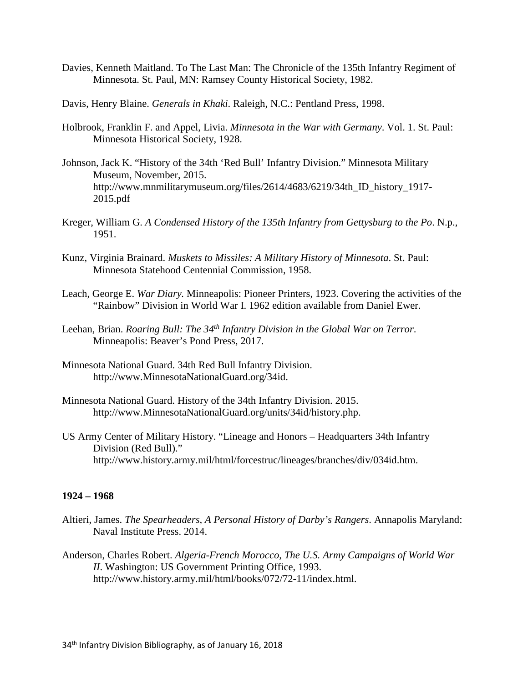- Davies, Kenneth Maitland. To The Last Man: The Chronicle of the 135th Infantry Regiment of Minnesota. St. Paul, MN: Ramsey County Historical Society, 1982.
- Davis, Henry Blaine. *Generals in Khaki*. Raleigh, N.C.: Pentland Press, 1998.
- Holbrook, Franklin F. and Appel, Livia. *Minnesota in the War with Germany*. Vol. 1. St. Paul: Minnesota Historical Society, 1928.
- Johnson, Jack K. "History of the 34th 'Red Bull' Infantry Division." Minnesota Military Museum, November, 2015. http://www.mnmilitarymuseum.org/files/2614/4683/6219/34th ID history 1917-2015.pdf
- Kreger, William G. *A Condensed History of the 135th Infantry from Gettysburg to the Po*. N.p., 1951.
- Kunz, Virginia Brainard. *Muskets to Missiles: A Military History of Minnesota*. St. Paul: Minnesota Statehood Centennial Commission, 1958.
- Leach, George E. *War Diary.* Minneapolis: Pioneer Printers, 1923. Covering the activities of the "Rainbow" Division in World War I. 1962 edition available from Daniel Ewer.
- Leehan, Brian. *Roaring Bull: The 34th Infantry Division in the Global War on Terror*. Minneapolis: Beaver's Pond Press, 2017.
- Minnesota National Guard. 34th Red Bull Infantry Division. http://www.MinnesotaNationalGuard.org/34id.
- Minnesota National Guard. History of the 34th Infantry Division. 2015. http://www.MinnesotaNationalGuard.org/units/34id/history.php.
- US Army Center of Military History. "Lineage and Honors Headquarters 34th Infantry Division (Red Bull)." http://www.history.army.mil/html/forcestruc/lineages/branches/div/034id.htm.

# **1924 – 1968**

- Altieri, James. *The Spearheaders, A Personal History of Darby's Rangers*. Annapolis Maryland: Naval Institute Press. 2014.
- Anderson, Charles Robert. *Algeria-French Morocco, The U.S. Army Campaigns of World War II*. Washington: US Government Printing Office, 1993. http://www.history.army.mil/html/books/072/72-11/index.html.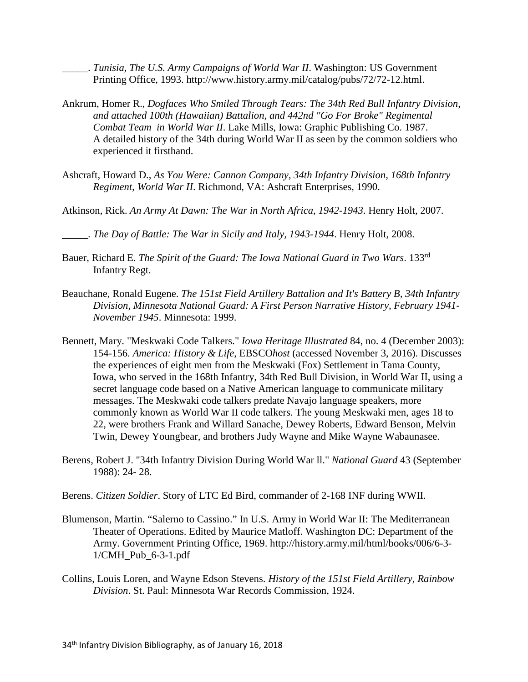\_\_\_\_\_. *Tunisia, The U.S. Army Campaigns of World War II*. Washington: US Government Printing Office, 1993. http://www.history.army.mil/catalog/pubs/72/72-12.html.

- Ankrum, Homer R., *Dogfaces Who Smiled Through Tears: The 34th Red Bull Infantry Division, and attached 100th (Hawaiian) Battalion, and 442nd "Go For Broke" Regimental Combat Team in World War II*. Lake Mills, Iowa: Graphic Publishing Co. 1987. A detailed history of the 34th during World War II as seen by the common soldiers who experienced it firsthand.
- Ashcraft, Howard D., *As You Were: Cannon Company, 34th Infantry Division, 168th Infantry Regiment, World War II*. Richmond, VA: Ashcraft Enterprises, 1990.
- Atkinson, Rick. *An Army At Dawn: The War in North Africa, 1942-1943*. Henry Holt, 2007.
- \_\_\_\_\_. *The Day of Battle: The War in Sicily and Italy, 1943-1944*. Henry Holt, 2008.
- Bauer, Richard E. *The Spirit of the Guard: The Iowa National Guard in Two Wars*. 133rd Infantry Regt.
- Beauchane, Ronald Eugene. *The 151st Field Artillery Battalion and It's Battery B, 34th Infantry Division, Minnesota National Guard: A First Person Narrative History, February 1941- November 1945*. Minnesota: 1999.
- Bennett, Mary. "Meskwaki Code Talkers." *Iowa Heritage Illustrated* 84, no. 4 (December 2003): 154-156. *America: History & Life*, EBSCO*host* (accessed November 3, 2016). Discusses the experiences of eight men from the Meskwaki (Fox) Settlement in Tama County, Iowa, who served in the 168th Infantry, 34th Red Bull Division, in World War II, using a secret language code based on a Native American language to communicate military messages. The Meskwaki code talkers predate Navajo language speakers, more commonly known as World War II code talkers. The young Meskwaki men, ages 18 to 22, were brothers Frank and Willard Sanache, Dewey Roberts, Edward Benson, Melvin Twin, Dewey Youngbear, and brothers Judy Wayne and Mike Wayne Wabaunasee.
- Berens, Robert J. "34th Infantry Division During World War ll." *National Guard* 43 (September 1988): 24- 28.
- Berens. *Citizen Soldier*. Story of LTC Ed Bird, commander of 2-168 INF during WWII.
- Blumenson, Martin. "Salerno to Cassino." In U.S. Army in World War II: The Mediterranean Theater of Operations. Edited by Maurice Matloff. Washington DC: Department of the Army. Government Printing Office, 1969. http://history.army.mil/html/books/006/6-3- 1/CMH\_Pub\_6-3-1.pdf
- Collins, Louis Loren, and Wayne Edson Stevens. *History of the 151st Field Artillery, Rainbow Division*. St. Paul: Minnesota War Records Commission, 1924.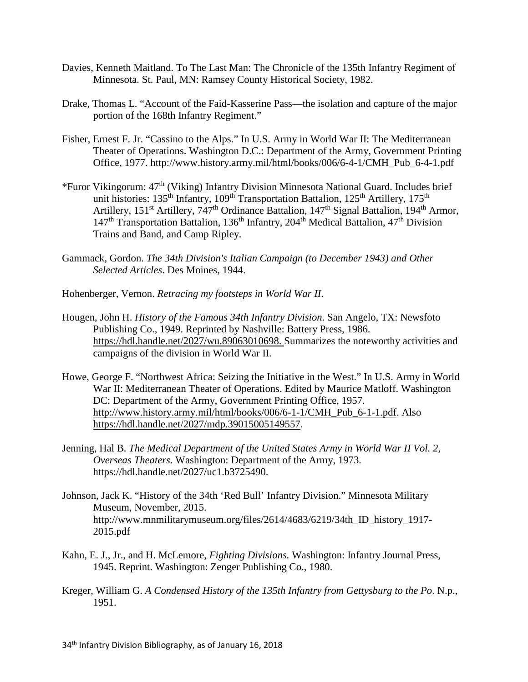- Davies, Kenneth Maitland. To The Last Man: The Chronicle of the 135th Infantry Regiment of Minnesota. St. Paul, MN: Ramsey County Historical Society, 1982.
- Drake, Thomas L. "Account of the Faid-Kasserine Pass—the isolation and capture of the major portion of the 168th Infantry Regiment."
- Fisher, Ernest F. Jr. "Cassino to the Alps." In U.S. Army in World War II: The Mediterranean Theater of Operations. Washington D.C.: Department of the Army, Government Printing Office, 1977. http://www.history.army.mil/html/books/006/6-4-1/CMH\_Pub\_6-4-1.pdf
- \*Furor Vikingorum: 47th (Viking) Infantry Division Minnesota National Guard. Includes brief unit histories: 135<sup>th</sup> Infantry, 109<sup>th</sup> Transportation Battalion, 125<sup>th</sup> Artillery, 175<sup>th</sup> Artillery, 151<sup>st</sup> Artillery, 747<sup>th</sup> Ordinance Battalion, 147<sup>th</sup> Signal Battalion, 194<sup>th</sup> Armor,  $147<sup>th</sup>$  Transportation Battalion,  $136<sup>th</sup>$  Infantry,  $204<sup>th</sup>$  Medical Battalion,  $47<sup>th</sup>$  Division Trains and Band, and Camp Ripley.
- Gammack, Gordon. *The 34th Division's Italian Campaign (to December 1943) and Other Selected Articles*. Des Moines, 1944.
- Hohenberger, Vernon. *Retracing my footsteps in World War II*.
- Hougen, John H. *History of the Famous 34th Infantry Division*. San Angelo, TX: Newsfoto Publishing Co., 1949. Reprinted by Nashville: Battery Press, 1986. [https://hdl.handle.net/2027/wu.89063010698.](https://hdl.handle.net/2027/wu.89063010698) Summarizes the noteworthy activities and campaigns of the division in World War II.
- Howe, George F. "Northwest Africa: Seizing the Initiative in the West." In U.S. Army in World War II: Mediterranean Theater of Operations. Edited by Maurice Matloff. Washington DC: Department of the Army, Government Printing Office, 1957. [http://www.history.army.mil/html/books/006/6-1-1/CMH\\_Pub\\_6-1-1.pdf.](http://www.history.army.mil/html/books/006/6-1-1/CMH_Pub_6-1-1.pdf) Also [https://hdl.handle.net/2027/mdp.39015005149557.](https://hdl.handle.net/2027/mdp.39015005149557)
- Jenning, Hal B. *The Medical Department of the United States Army in World War II Vol. 2, Overseas Theaters*. Washington: Department of the Army, 1973. https://hdl.handle.net/2027/uc1.b3725490.
- Johnson, Jack K. "History of the 34th 'Red Bull' Infantry Division." Minnesota Military Museum, November, 2015. http://www.mnmilitarymuseum.org/files/2614/4683/6219/34th\_ID\_history\_1917- 2015.pdf
- Kahn, E. J., Jr., and H. McLemore, *Fighting Divisions.* Washington: Infantry Journal Press, 1945. Reprint. Washington: Zenger Publishing Co., 1980.
- Kreger, William G. *A Condensed History of the 135th Infantry from Gettysburg to the Po*. N.p., 1951.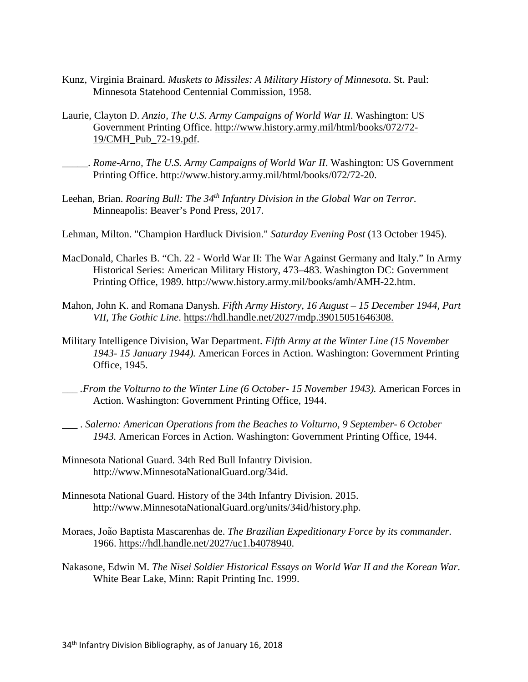- Kunz, Virginia Brainard. *Muskets to Missiles: A Military History of Minnesota*. St. Paul: Minnesota Statehood Centennial Commission, 1958.
- Laurie, Clayton D. *Anzio, The U.S. Army Campaigns of World War II*. Washington: US Government Printing Office. [http://www.history.army.mil/html/books/072/72-](http://www.history.army.mil/html/books/072/72-19/CMH_Pub_72-19.pdf) [19/CMH\\_Pub\\_72-19.pdf.](http://www.history.army.mil/html/books/072/72-19/CMH_Pub_72-19.pdf)
- \_\_\_\_\_. *Rome-Arno, The U.S. Army Campaigns of World War II*. Washington: US Government Printing Office. http://www.history.army.mil/html/books/072/72-20.
- Leehan, Brian. *Roaring Bull: The 34th Infantry Division in the Global War on Terror*. Minneapolis: Beaver's Pond Press, 2017.
- Lehman, Milton. "Champion Hardluck Division." *Saturday Evening Post* (13 October 1945).
- MacDonald, Charles B. "Ch. 22 World War II: The War Against Germany and Italy." In Army Historical Series: American Military History, 473–483. Washington DC: Government Printing Office, 1989. http://www.history.army.mil/books/amh/AMH-22.htm.
- Mahon, John K. and Romana Danysh. *Fifth Army History, 16 August – 15 December 1944, Part VII, The Gothic Line*. [https://hdl.handle.net/2027/mdp.39015051646308.](https://hdl.handle.net/2027/mdp.39015051646308)
- Military Intelligence Division, War Department. *Fifth Army at the Winter Line (15 November 1943- 15 January 1944).* American Forces in Action. Washington: Government Printing Office, 1945.
- *\_\_\_ .From the Volturno to the Winter Line (6 October- 15 November 1943).* American Forces in Action. Washington: Government Printing Office, 1944.
- \_\_\_ . *Salerno: American Operations from the Beaches to Volturno, 9 September- 6 October 1943.* American Forces in Action. Washington: Government Printing Office, 1944.
- Minnesota National Guard. 34th Red Bull Infantry Division. http://www.MinnesotaNationalGuard.org/34id.
- Minnesota National Guard. History of the 34th Infantry Division. 2015. http://www.MinnesotaNationalGuard.org/units/34id/history.php.
- Moraes, João Baptista Mascarenhas de. *The Brazilian Expeditionary Force by its commander*. 1966. [https://hdl.handle.net/2027/uc1.b4078940.](https://hdl.handle.net/2027/uc1.b4078940)
- Nakasone, Edwin M. *The Nisei Soldier Historical Essays on World War II and the Korean War*. White Bear Lake, Minn: Rapit Printing Inc. 1999.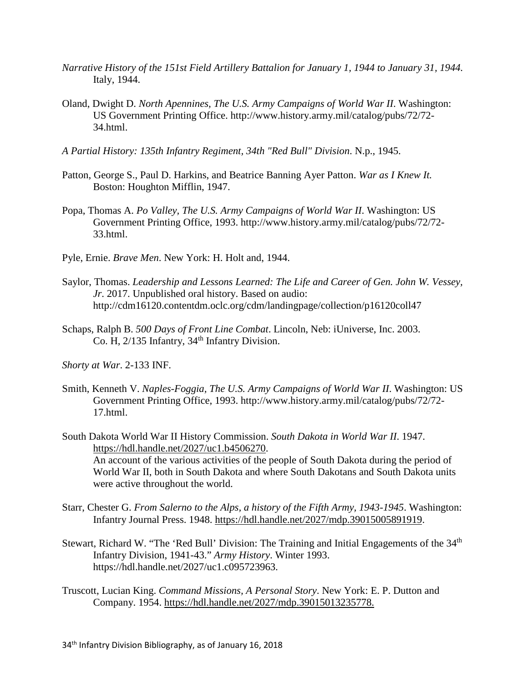- *Narrative History of the 151st Field Artillery Battalion for January 1, 1944 to January 31, 1944.* Italy, 1944.
- Oland, Dwight D. *North Apennines, The U.S. Army Campaigns of World War II*. Washington: US Government Printing Office. http://www.history.army.mil/catalog/pubs/72/72- 34.html.
- *A Partial History: 135th Infantry Regiment, 34th "Red Bull" Division*. N.p., 1945.
- Patton, George S., Paul D. Harkins, and Beatrice Banning Ayer Patton. *War as I Knew It.* Boston: Houghton Mifflin, 1947.
- Popa, Thomas A. *Po Valley, The U.S. Army Campaigns of World War II*. Washington: US Government Printing Office, 1993. http://www.history.army.mil/catalog/pubs/72/72- 33.html.
- Pyle, Ernie. *Brave Men*. New York: H. Holt and, 1944.
- Saylor, Thomas. *Leadership and Lessons Learned: The Life and Career of Gen. John W. Vessey, Jr*. 2017. Unpublished oral history. Based on audio: http://cdm16120.contentdm.oclc.org/cdm/landingpage/collection/p16120coll47
- Schaps, Ralph B. *500 Days of Front Line Combat*. Lincoln, Neb: iUniverse, Inc. 2003. Co. H, 2/135 Infantry, 34<sup>th</sup> Infantry Division.
- *Shorty at War*. 2-133 INF.
- Smith, Kenneth V. *Naples-Foggia, The U.S. Army Campaigns of World War II*. Washington: US Government Printing Office, 1993. http://www.history.army.mil/catalog/pubs/72/72- 17.html.
- South Dakota World War II History Commission. *South Dakota in World War II*. 1947. [https://hdl.handle.net/2027/uc1.b4506270.](https://hdl.handle.net/2027/uc1.b4506270) An account of the various activities of the people of South Dakota during the period of World War II, both in South Dakota and where South Dakotans and South Dakota units were active throughout the world.
- Starr, Chester G. *From Salerno to the Alps, a history of the Fifth Army, 1943-1945*. Washington: Infantry Journal Press. 1948. [https://hdl.handle.net/2027/mdp.39015005891919.](https://hdl.handle.net/2027/mdp.39015005891919)
- Stewart, Richard W. "The 'Red Bull' Division: The Training and Initial Engagements of the 34<sup>th</sup> Infantry Division, 1941-43." *Army History*. Winter 1993. https://hdl.handle.net/2027/uc1.c095723963.
- Truscott, Lucian King. *Command Missions, A Personal Story*. New York: E. P. Dutton and Company. 1954. [https://hdl.handle.net/2027/mdp.39015013235778.](https://hdl.handle.net/2027/mdp.39015013235778)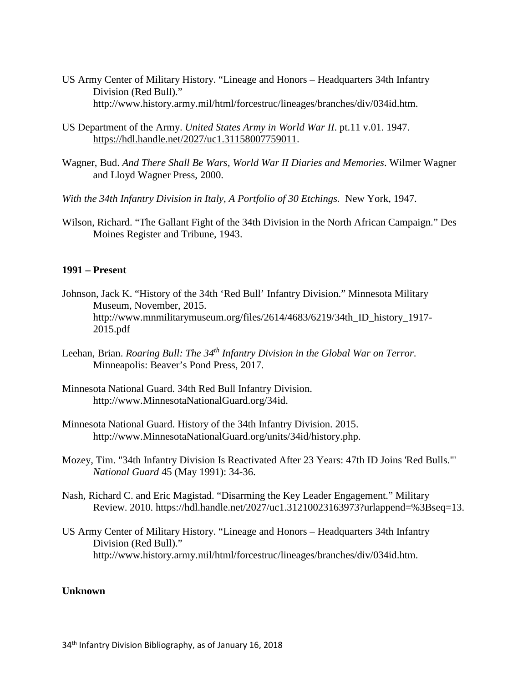- US Army Center of Military History. "Lineage and Honors Headquarters 34th Infantry Division (Red Bull)." http://www.history.army.mil/html/forcestruc/lineages/branches/div/034id.htm.
- US Department of the Army. *United States Army in World War II*. pt.11 v.01. 1947. [https://hdl.handle.net/2027/uc1.31158007759011.](https://hdl.handle.net/2027/uc1.31158007759011)
- Wagner, Bud. *And There Shall Be Wars, World War II Diaries and Memories*. Wilmer Wagner and Lloyd Wagner Press, 2000.
- *With the 34th Infantry Division in Italy, A Portfolio of 30 Etchings.* New York, 1947.
- Wilson, Richard. "The Gallant Fight of the 34th Division in the North African Campaign." Des Moines Register and Tribune, 1943.

#### **1991 – Present**

- Johnson, Jack K. "History of the 34th 'Red Bull' Infantry Division." Minnesota Military Museum, November, 2015. http://www.mnmilitarymuseum.org/files/2614/4683/6219/34th ID history 1917-2015.pdf
- Leehan, Brian. *Roaring Bull: The 34th Infantry Division in the Global War on Terror*. Minneapolis: Beaver's Pond Press, 2017.
- Minnesota National Guard. 34th Red Bull Infantry Division. http://www.MinnesotaNationalGuard.org/34id.
- Minnesota National Guard. History of the 34th Infantry Division. 2015. http://www.MinnesotaNationalGuard.org/units/34id/history.php.
- Mozey, Tim. "34th Infantry Division Is Reactivated After 23 Years: 47th ID Joins 'Red Bulls."' *National Guard* 45 (May 1991): 34-36.
- Nash, Richard C. and Eric Magistad. "Disarming the Key Leader Engagement." Military Review. 2010. https://hdl.handle.net/2027/uc1.31210023163973?urlappend=%3Bseq=13.
- US Army Center of Military History. "Lineage and Honors Headquarters 34th Infantry Division (Red Bull)." http://www.history.army.mil/html/forcestruc/lineages/branches/div/034id.htm.

#### **Unknown**